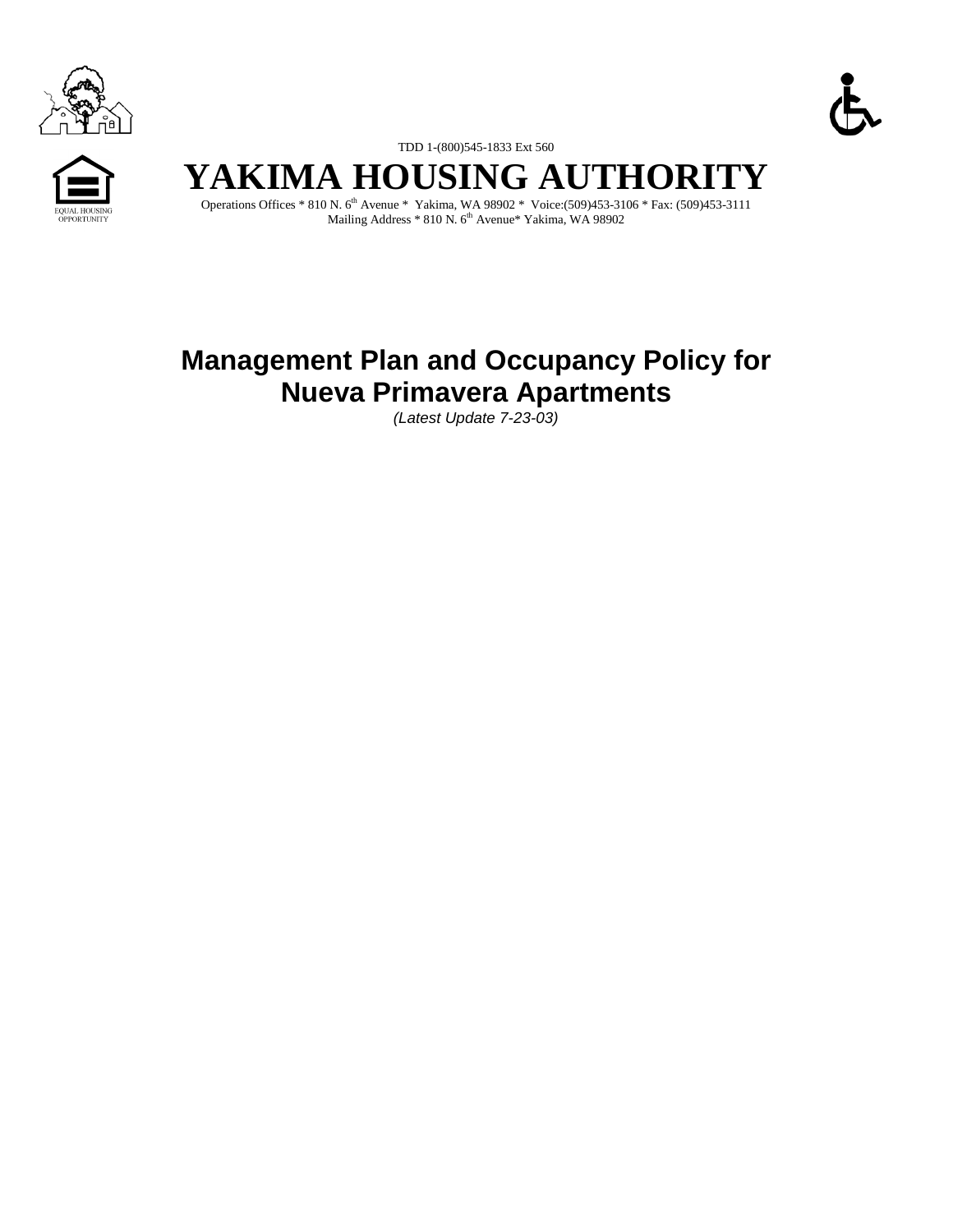





TDD 1-(800)545-1833 Ext 560

# **YAKIMA HOUSING AUTHORITY**

Operations Offices \* 810 N. 6th Avenue \* Yakima, WA 98902 \* Voice:(509)453-3106 \* Fax: (509)453-3111 Mailing Address \* 810 N.  $6^{\rm th}$  Avenue\* Yakima, WA 98902

# **Management Plan and Occupancy Policy for Nueva Primavera Apartments**

*(Latest Update 7-23-03)*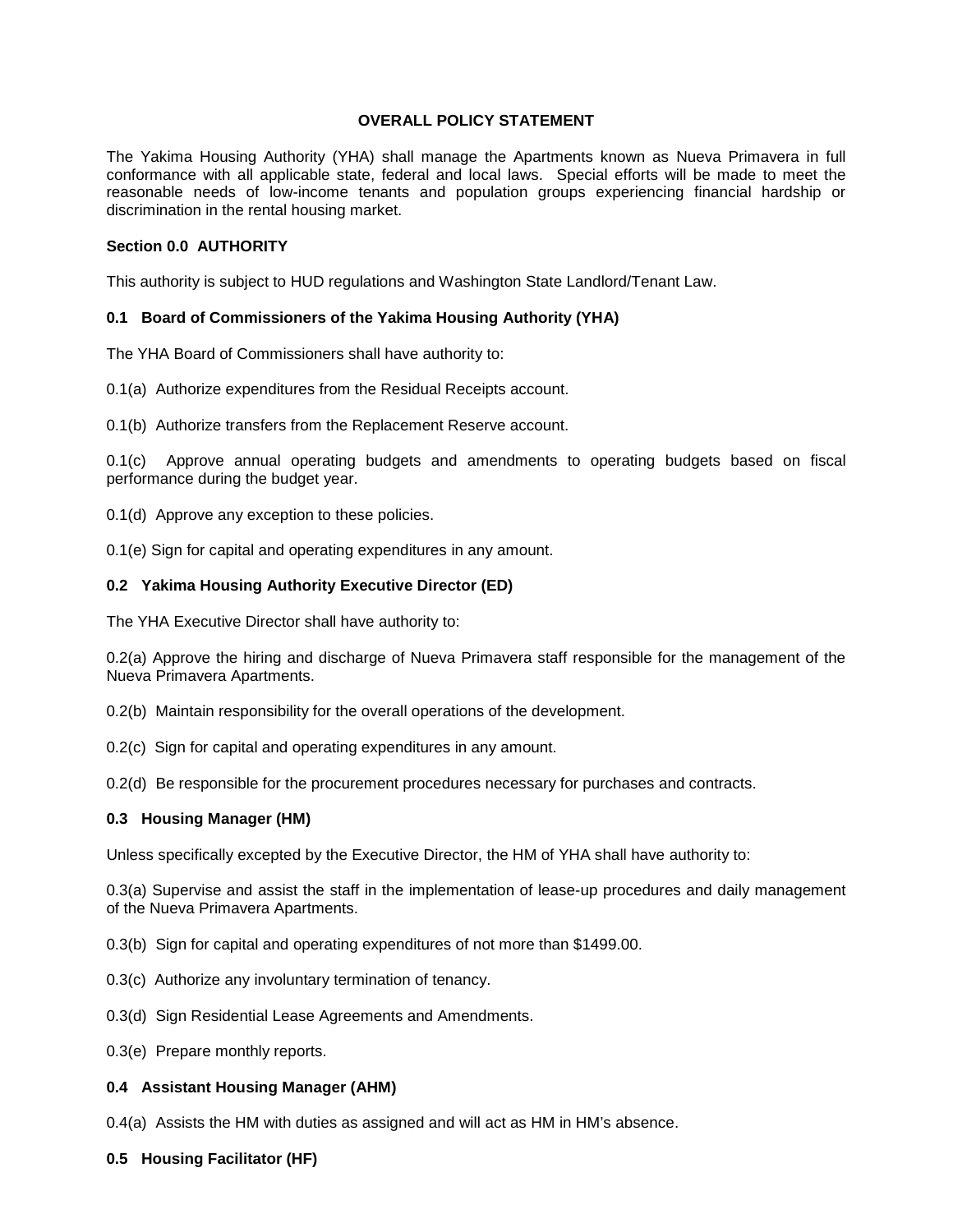# **OVERALL POLICY STATEMENT**

The Yakima Housing Authority (YHA) shall manage the Apartments known as Nueva Primavera in full conformance with all applicable state, federal and local laws. Special efforts will be made to meet the reasonable needs of low-income tenants and population groups experiencing financial hardship or discrimination in the rental housing market.

#### **Section 0.0 AUTHORITY**

This authority is subject to HUD regulations and Washington State Landlord/Tenant Law.

# **0.1 Board of Commissioners of the Yakima Housing Authority (YHA)**

The YHA Board of Commissioners shall have authority to:

0.1(a) Authorize expenditures from the Residual Receipts account.

0.1(b) Authorize transfers from the Replacement Reserve account.

0.1(c) Approve annual operating budgets and amendments to operating budgets based on fiscal performance during the budget year.

0.1(d) Approve any exception to these policies.

0.1(e) Sign for capital and operating expenditures in any amount.

# **0.2 Yakima Housing Authority Executive Director (ED)**

The YHA Executive Director shall have authority to:

0.2(a) Approve the hiring and discharge of Nueva Primavera staff responsible for the management of the Nueva Primavera Apartments.

- 0.2(b) Maintain responsibility for the overall operations of the development.
- 0.2(c) Sign for capital and operating expenditures in any amount.

0.2(d) Be responsible for the procurement procedures necessary for purchases and contracts.

# **0.3 Housing Manager (HM)**

Unless specifically excepted by the Executive Director, the HM of YHA shall have authority to:

0.3(a) Supervise and assist the staff in the implementation of lease-up procedures and daily management of the Nueva Primavera Apartments.

0.3(b) Sign for capital and operating expenditures of not more than \$1499.00.

- 0.3(c) Authorize any involuntary termination of tenancy.
- 0.3(d) Sign Residential Lease Agreements and Amendments.
- 0.3(e) Prepare monthly reports.

# **0.4 Assistant Housing Manager (AHM)**

0.4(a) Assists the HM with duties as assigned and will act as HM in HM's absence.

#### **0.5 Housing Facilitator (HF)**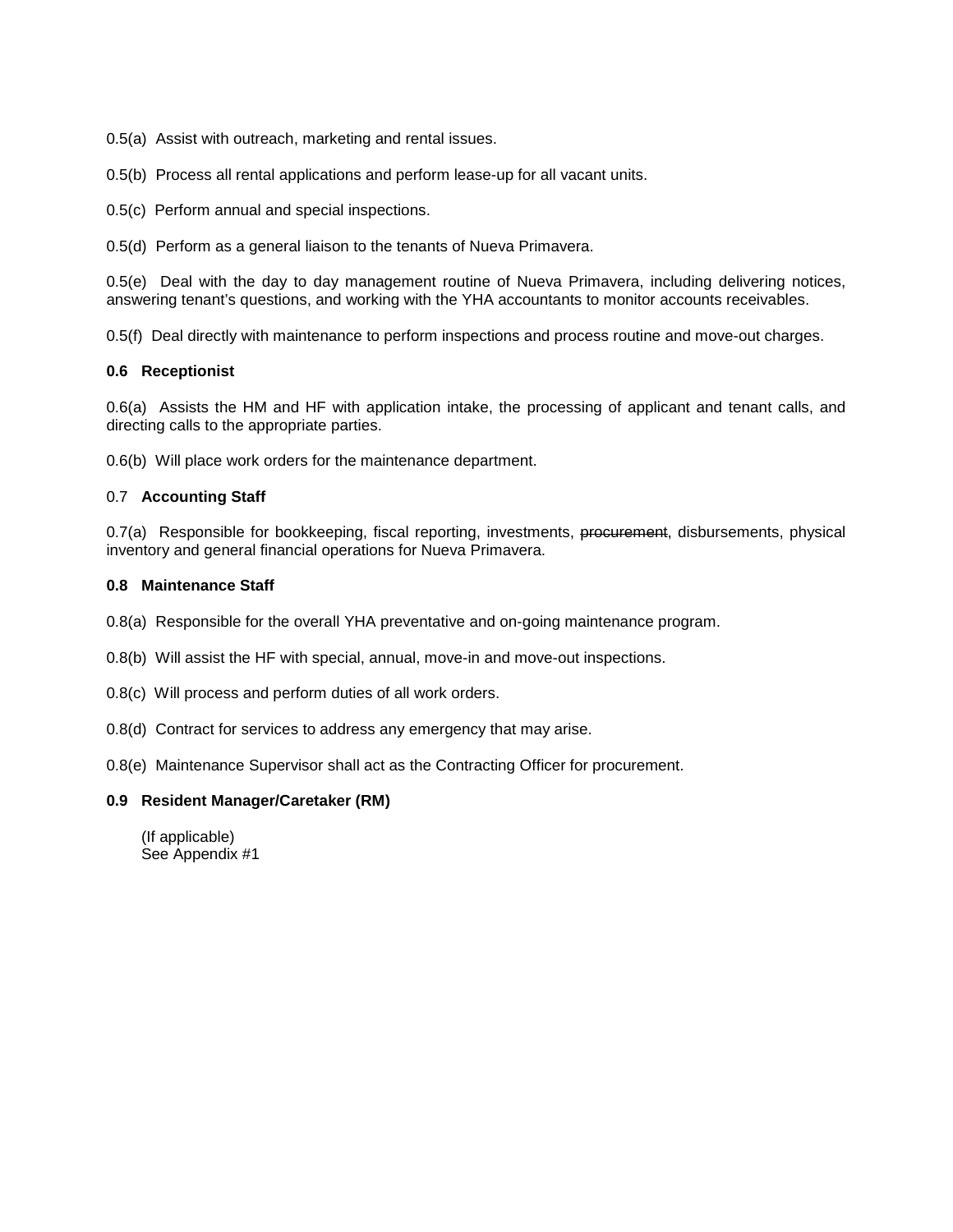0.5(a) Assist with outreach, marketing and rental issues.

0.5(b) Process all rental applications and perform lease-up for all vacant units.

0.5(c) Perform annual and special inspections.

0.5(d) Perform as a general liaison to the tenants of Nueva Primavera.

0.5(e) Deal with the day to day management routine of Nueva Primavera, including delivering notices, answering tenant's questions, and working with the YHA accountants to monitor accounts receivables.

0.5(f) Deal directly with maintenance to perform inspections and process routine and move-out charges.

# **0.6 Receptionist**

0.6(a) Assists the HM and HF with application intake, the processing of applicant and tenant calls, and directing calls to the appropriate parties.

0.6(b) Will place work orders for the maintenance department.

# 0.7 **Accounting Staff**

0.7(a) Responsible for bookkeeping, fiscal reporting, investments, procurement, disbursements, physical inventory and general financial operations for Nueva Primavera.

# **0.8 Maintenance Staff**

0.8(a) Responsible for the overall YHA preventative and on-going maintenance program.

- 0.8(b) Will assist the HF with special, annual, move-in and move-out inspections.
- 0.8(c) Will process and perform duties of all work orders.
- 0.8(d) Contract for services to address any emergency that may arise.
- 0.8(e) Maintenance Supervisor shall act as the Contracting Officer for procurement.

# **0.9 Resident Manager/Caretaker (RM)**

(If applicable) See Appendix #1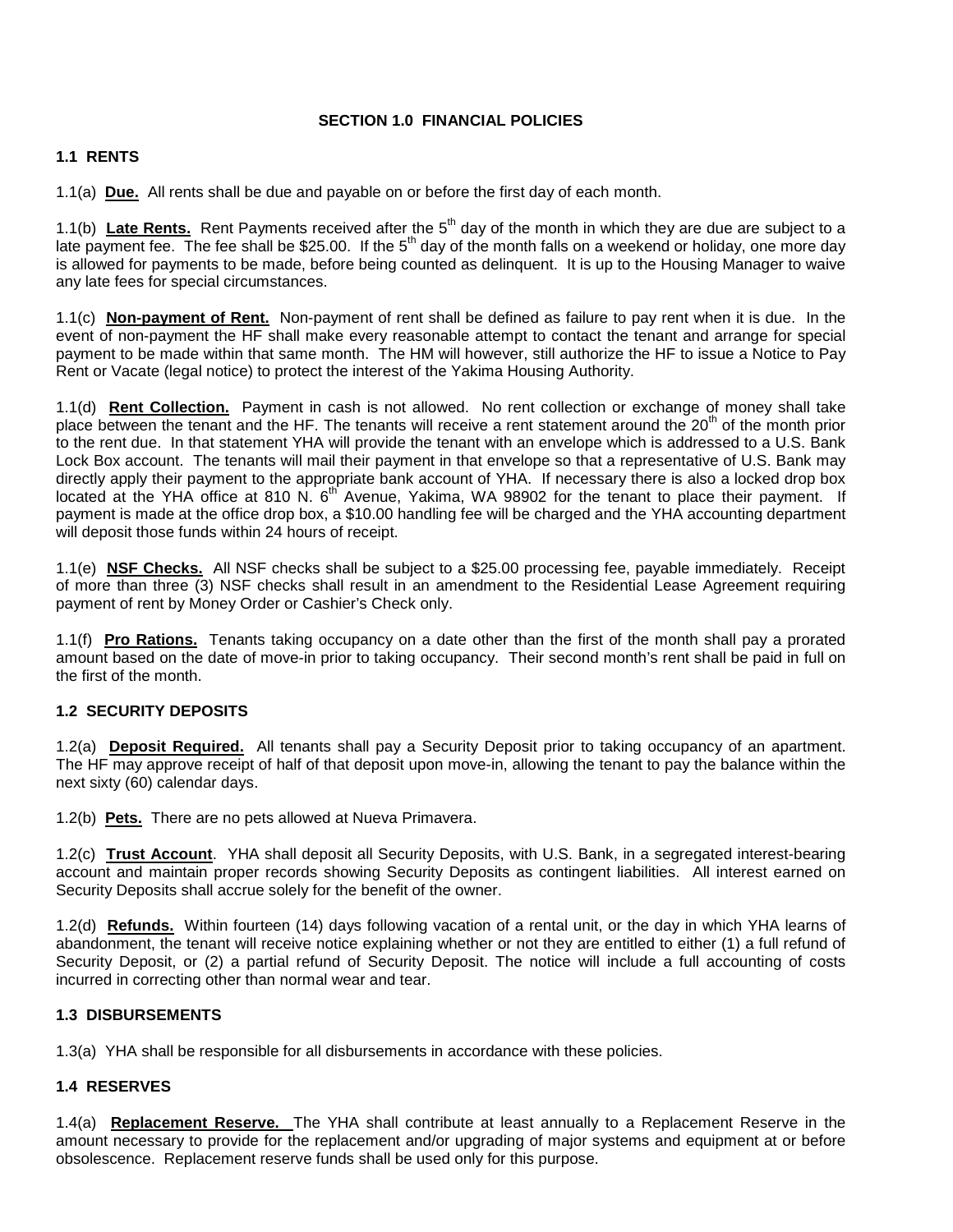# **SECTION 1.0 FINANCIAL POLICIES**

# **1.1 RENTS**

1.1(a) **Due.** All rents shall be due and payable on or before the first day of each month.

1.1(b) Late Rents. Rent Payments received after the 5<sup>th</sup> day of the month in which they are due are subject to a late payment fee. The fee shall be \$25.00. If the 5<sup>th</sup> day of the month falls on a weekend or holiday, one more day is allowed for payments to be made, before being counted as delinquent. It is up to the Housing Manager to waive any late fees for special circumstances.

1.1(c) **Non-payment of Rent.** Non-payment of rent shall be defined as failure to pay rent when it is due. In the event of non-payment the HF shall make every reasonable attempt to contact the tenant and arrange for special payment to be made within that same month. The HM will however, still authorize the HF to issue a Notice to Pay Rent or Vacate (legal notice) to protect the interest of the Yakima Housing Authority.

1.1(d) **Rent Collection.** Payment in cash is not allowed. No rent collection or exchange of money shall take place between the tenant and the HF. The tenants will receive a rent statement around the 20<sup>th</sup> of the month prior to the rent due. In that statement YHA will provide the tenant with an envelope which is addressed to a U.S. Bank Lock Box account. The tenants will mail their payment in that envelope so that a representative of U.S. Bank may directly apply their payment to the appropriate bank account of YHA. If necessary there is also a locked drop box located at the YHA office at 810 N. 6<sup>th</sup> Avenue, Yakima, WA 98902 for the tenant to place their payment. If payment is made at the office drop box, a \$10.00 handling fee will be charged and the YHA accounting department will deposit those funds within 24 hours of receipt.

1.1(e) **NSF Checks.** All NSF checks shall be subject to a \$25.00 processing fee, payable immediately. Receipt of more than three (3) NSF checks shall result in an amendment to the Residential Lease Agreement requiring payment of rent by Money Order or Cashier's Check only.

1.1(f) **Pro Rations.** Tenants taking occupancy on a date other than the first of the month shall pay a prorated amount based on the date of move-in prior to taking occupancy. Their second month's rent shall be paid in full on the first of the month.

# **1.2 SECURITY DEPOSITS**

1.2(a) **Deposit Required.** All tenants shall pay a Security Deposit prior to taking occupancy of an apartment. The HF may approve receipt of half of that deposit upon move-in, allowing the tenant to pay the balance within the next sixty (60) calendar days.

1.2(b) **Pets.** There are no pets allowed at Nueva Primavera.

1.2(c) **Trust Account**. YHA shall deposit all Security Deposits, with U.S. Bank, in a segregated interest-bearing account and maintain proper records showing Security Deposits as contingent liabilities. All interest earned on Security Deposits shall accrue solely for the benefit of the owner.

1.2(d) **Refunds.** Within fourteen (14) days following vacation of a rental unit, or the day in which YHA learns of abandonment, the tenant will receive notice explaining whether or not they are entitled to either (1) a full refund of Security Deposit, or (2) a partial refund of Security Deposit. The notice will include a full accounting of costs incurred in correcting other than normal wear and tear.

# **1.3 DISBURSEMENTS**

1.3(a) YHA shall be responsible for all disbursements in accordance with these policies.

# **1.4 RESERVES**

1.4(a) **Replacement Reserve.** The YHA shall contribute at least annually to a Replacement Reserve in the amount necessary to provide for the replacement and/or upgrading of major systems and equipment at or before obsolescence. Replacement reserve funds shall be used only for this purpose.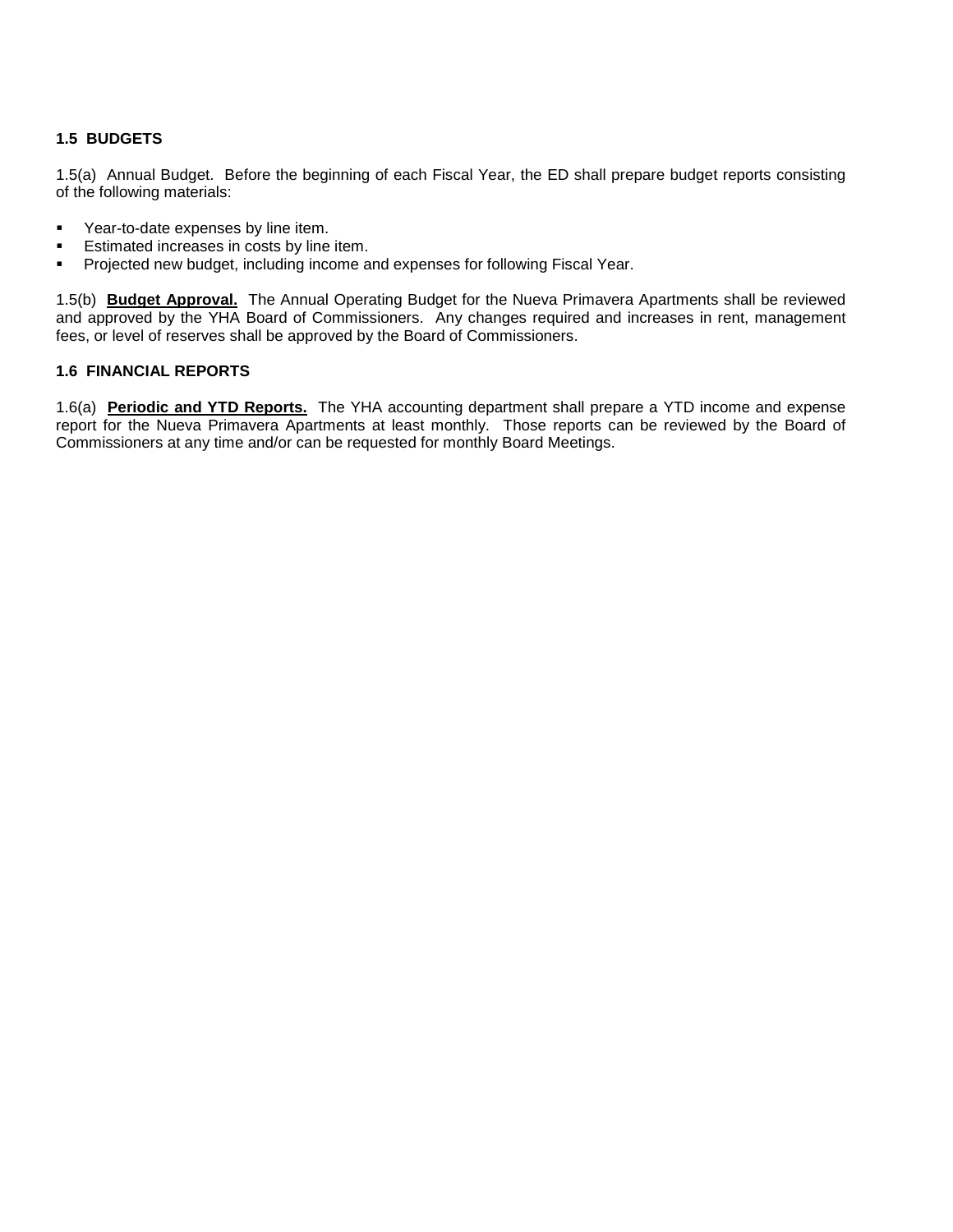# **1.5 BUDGETS**

1.5(a) Annual Budget. Before the beginning of each Fiscal Year, the ED shall prepare budget reports consisting of the following materials:

- **•** Year-to-date expenses by line item.
- Estimated increases in costs by line item.
- **Projected new budget, including income and expenses for following Fiscal Year.**

1.5(b) **Budget Approval.** The Annual Operating Budget for the Nueva Primavera Apartments shall be reviewed and approved by the YHA Board of Commissioners. Any changes required and increases in rent, management fees, or level of reserves shall be approved by the Board of Commissioners.

# **1.6 FINANCIAL REPORTS**

1.6(a) **Periodic and YTD Reports.** The YHA accounting department shall prepare a YTD income and expense report for the Nueva Primavera Apartments at least monthly. Those reports can be reviewed by the Board of Commissioners at any time and/or can be requested for monthly Board Meetings.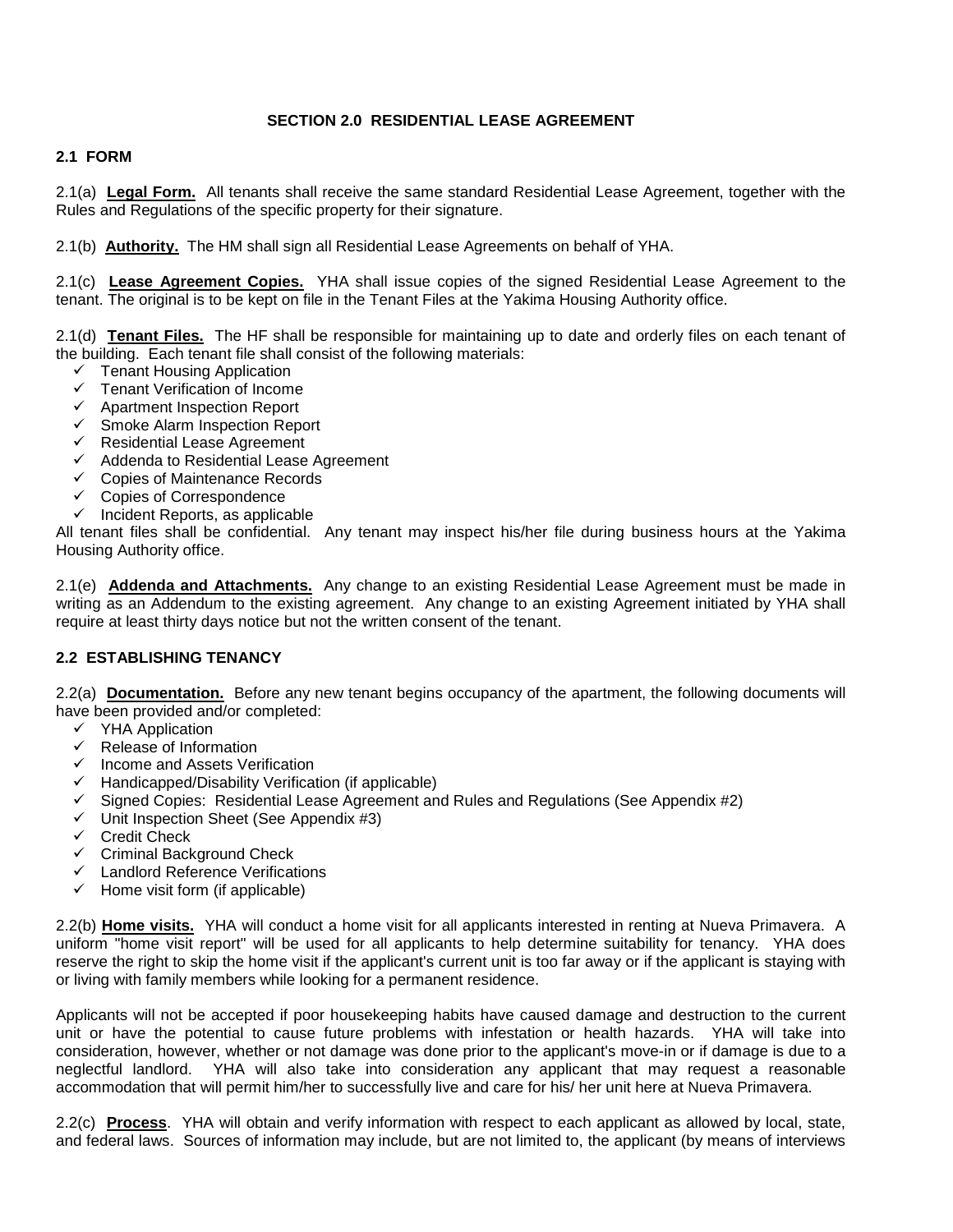# **SECTION 2.0 RESIDENTIAL LEASE AGREEMENT**

# **2.1 FORM**

2.1(a) **Legal Form.** All tenants shall receive the same standard Residential Lease Agreement, together with the Rules and Regulations of the specific property for their signature.

2.1(b) **Authority.** The HM shall sign all Residential Lease Agreements on behalf of YHA.

2.1(c) **Lease Agreement Copies.** YHA shall issue copies of the signed Residential Lease Agreement to the tenant. The original is to be kept on file in the Tenant Files at the Yakima Housing Authority office.

2.1(d) **Tenant Files.** The HF shall be responsible for maintaining up to date and orderly files on each tenant of the building. Each tenant file shall consist of the following materials:

- $\checkmark$  Tenant Housing Application
- $\checkmark$  Tenant Verification of Income
- $\checkmark$  Apartment Inspection Report
- $\checkmark$  Smoke Alarm Inspection Report
- $\checkmark$  Residential Lease Agreement
- $\checkmark$  Addenda to Residential Lease Agreement
- $\checkmark$  Copies of Maintenance Records
- $\checkmark$  Copies of Correspondence
- $\checkmark$  Incident Reports, as applicable

All tenant files shall be confidential. Any tenant may inspect his/her file during business hours at the Yakima Housing Authority office.

2.1(e) **Addenda and Attachments.** Any change to an existing Residential Lease Agreement must be made in writing as an Addendum to the existing agreement. Any change to an existing Agreement initiated by YHA shall require at least thirty days notice but not the written consent of the tenant.

# **2.2 ESTABLISHING TENANCY**

2.2(a) **Documentation.** Before any new tenant begins occupancy of the apartment, the following documents will have been provided and/or completed:

- $\checkmark$  YHA Application
- $\checkmark$  Release of Information<br> $\checkmark$  Income and Assets Ver
- Income and Assets Verification
- $\checkmark$  Handicapped/Disability Verification (if applicable)
- $\checkmark$  Signed Copies: Residential Lease Agreement and Rules and Regulations (See Appendix #2)
- $\checkmark$  Unit Inspection Sheet (See Appendix #3)
- $\checkmark$  Credit Check
- $\checkmark$  Criminal Background Check
- $\checkmark$  Landlord Reference Verifications
- $\checkmark$  Home visit form (if applicable)

2.2(b) **Home visits.** YHA will conduct a home visit for all applicants interested in renting at Nueva Primavera. A uniform "home visit report" will be used for all applicants to help determine suitability for tenancy. YHA does reserve the right to skip the home visit if the applicant's current unit is too far away or if the applicant is staying with or living with family members while looking for a permanent residence.

Applicants will not be accepted if poor housekeeping habits have caused damage and destruction to the current unit or have the potential to cause future problems with infestation or health hazards. YHA will take into consideration, however, whether or not damage was done prior to the applicant's move-in or if damage is due to a neglectful landlord. YHA will also take into consideration any applicant that may request a reasonable accommodation that will permit him/her to successfully live and care for his/ her unit here at Nueva Primavera.

2.2(c) **Process**. YHA will obtain and verify information with respect to each applicant as allowed by local, state, and federal laws. Sources of information may include, but are not limited to, the applicant (by means of interviews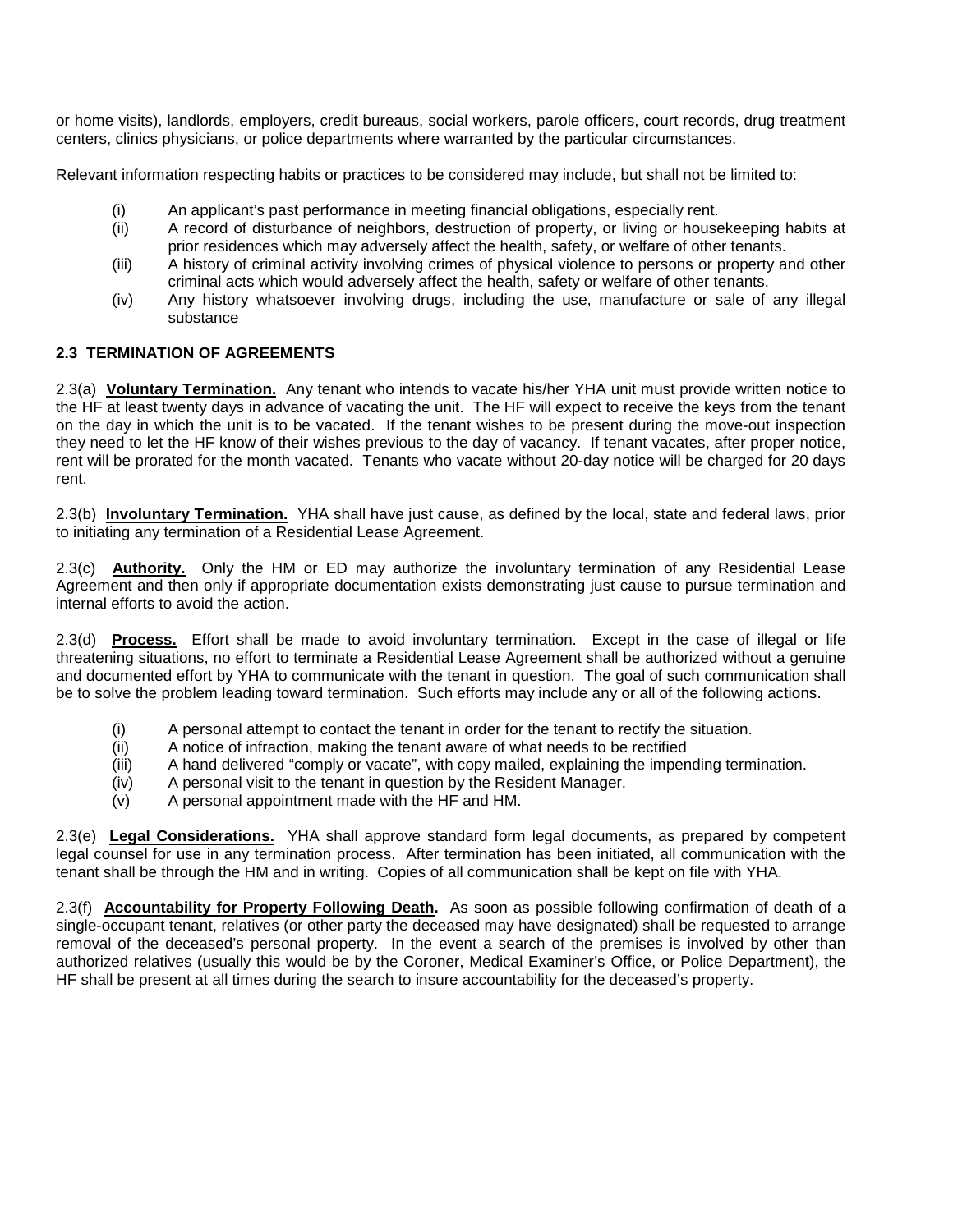or home visits), landlords, employers, credit bureaus, social workers, parole officers, court records, drug treatment centers, clinics physicians, or police departments where warranted by the particular circumstances.

Relevant information respecting habits or practices to be considered may include, but shall not be limited to:

- (i) An applicant's past performance in meeting financial obligations, especially rent.<br>(ii) A record of disturbance of neighbors, destruction of property, or living or house
- A record of disturbance of neighbors, destruction of property, or living or housekeeping habits at prior residences which may adversely affect the health, safety, or welfare of other tenants.
- (iii) A history of criminal activity involving crimes of physical violence to persons or property and other criminal acts which would adversely affect the health, safety or welfare of other tenants.
- (iv) Any history whatsoever involving drugs, including the use, manufacture or sale of any illegal substance

# **2.3 TERMINATION OF AGREEMENTS**

2.3(a) **Voluntary Termination.** Any tenant who intends to vacate his/her YHA unit must provide written notice to the HF at least twenty days in advance of vacating the unit. The HF will expect to receive the keys from the tenant on the day in which the unit is to be vacated. If the tenant wishes to be present during the move-out inspection they need to let the HF know of their wishes previous to the day of vacancy. If tenant vacates, after proper notice, rent will be prorated for the month vacated. Tenants who vacate without 20-day notice will be charged for 20 days rent.

2.3(b) **Involuntary Termination.** YHA shall have just cause, as defined by the local, state and federal laws, prior to initiating any termination of a Residential Lease Agreement.

2.3(c) **Authority.** Only the HM or ED may authorize the involuntary termination of any Residential Lease Agreement and then only if appropriate documentation exists demonstrating just cause to pursue termination and internal efforts to avoid the action.

2.3(d) **Process.** Effort shall be made to avoid involuntary termination. Except in the case of illegal or life threatening situations, no effort to terminate a Residential Lease Agreement shall be authorized without a genuine and documented effort by YHA to communicate with the tenant in question. The goal of such communication shall be to solve the problem leading toward termination. Such efforts may include any or all of the following actions.

- (i) A personal attempt to contact the tenant in order for the tenant to rectify the situation.
- (ii) A notice of infraction, making the tenant aware of what needs to be rectified
- (iii) A hand delivered "comply or vacate", with copy mailed, explaining the impending termination.
- (iv) A personal visit to the tenant in question by the Resident Manager.
- (v) A personal appointment made with the HF and HM.

2.3(e) **Legal Considerations.** YHA shall approve standard form legal documents, as prepared by competent legal counsel for use in any termination process. After termination has been initiated, all communication with the tenant shall be through the HM and in writing. Copies of all communication shall be kept on file with YHA.

2.3(f) **Accountability for Property Following Death.** As soon as possible following confirmation of death of a single-occupant tenant, relatives (or other party the deceased may have designated) shall be requested to arrange removal of the deceased's personal property. In the event a search of the premises is involved by other than authorized relatives (usually this would be by the Coroner, Medical Examiner's Office, or Police Department), the HF shall be present at all times during the search to insure accountability for the deceased's property.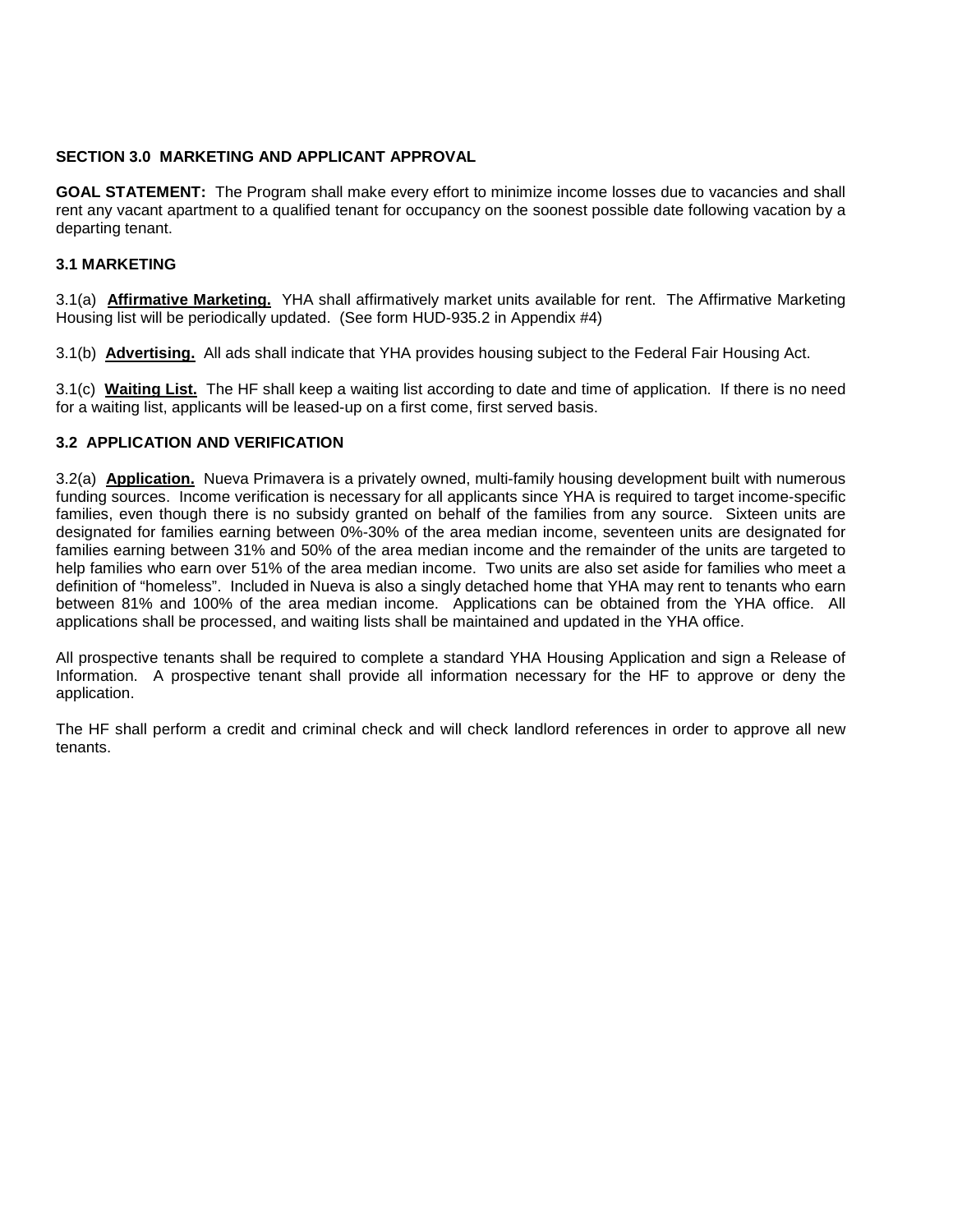#### **SECTION 3.0 MARKETING AND APPLICANT APPROVAL**

**GOAL STATEMENT:** The Program shall make every effort to minimize income losses due to vacancies and shall rent any vacant apartment to a qualified tenant for occupancy on the soonest possible date following vacation by a departing tenant.

# **3.1 MARKETING**

3.1(a) **Affirmative Marketing.** YHA shall affirmatively market units available for rent. The Affirmative Marketing Housing list will be periodically updated. (See form HUD-935.2 in Appendix #4)

3.1(b) **Advertising.** All ads shall indicate that YHA provides housing subject to the Federal Fair Housing Act.

3.1(c) **Waiting List.** The HF shall keep a waiting list according to date and time of application. If there is no need for a waiting list, applicants will be leased-up on a first come, first served basis.

# **3.2 APPLICATION AND VERIFICATION**

3.2(a) **Application.** Nueva Primavera is a privately owned, multi-family housing development built with numerous funding sources. Income verification is necessary for all applicants since YHA is required to target income-specific families, even though there is no subsidy granted on behalf of the families from any source. Sixteen units are designated for families earning between 0%-30% of the area median income, seventeen units are designated for families earning between 31% and 50% of the area median income and the remainder of the units are targeted to help families who earn over 51% of the area median income. Two units are also set aside for families who meet a definition of "homeless". Included in Nueva is also a singly detached home that YHA may rent to tenants who earn between 81% and 100% of the area median income. Applications can be obtained from the YHA office. All applications shall be processed, and waiting lists shall be maintained and updated in the YHA office.

All prospective tenants shall be required to complete a standard YHA Housing Application and sign a Release of Information. A prospective tenant shall provide all information necessary for the HF to approve or deny the application.

The HF shall perform a credit and criminal check and will check landlord references in order to approve all new tenants.